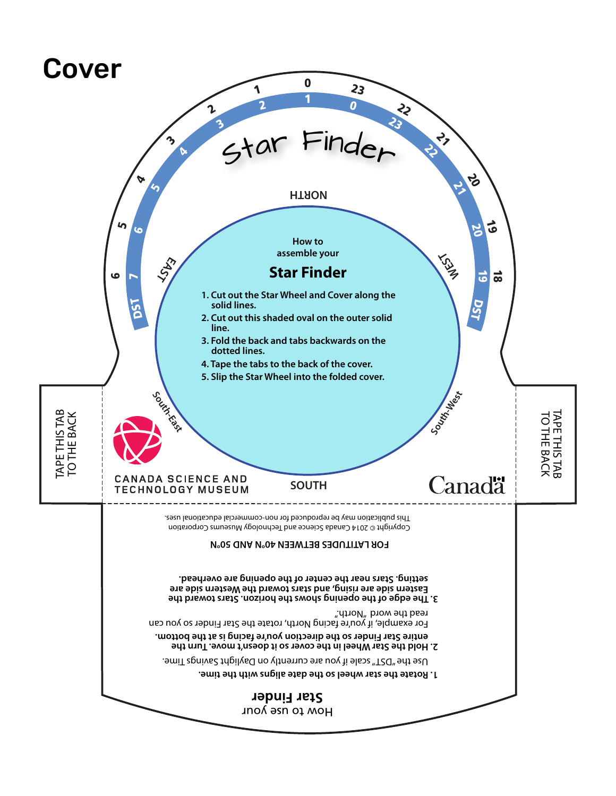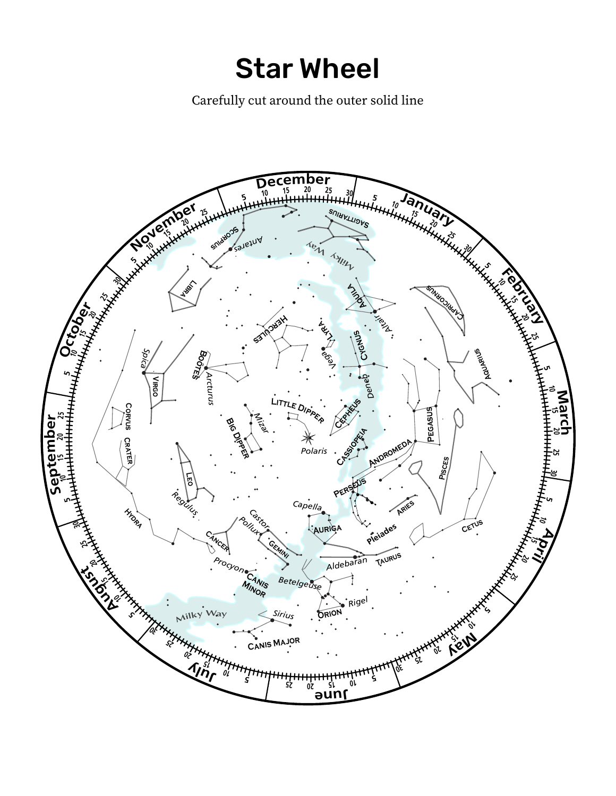Star Wheel

Carefully cut around the outer solid line. Carefully cut around the outer solid line